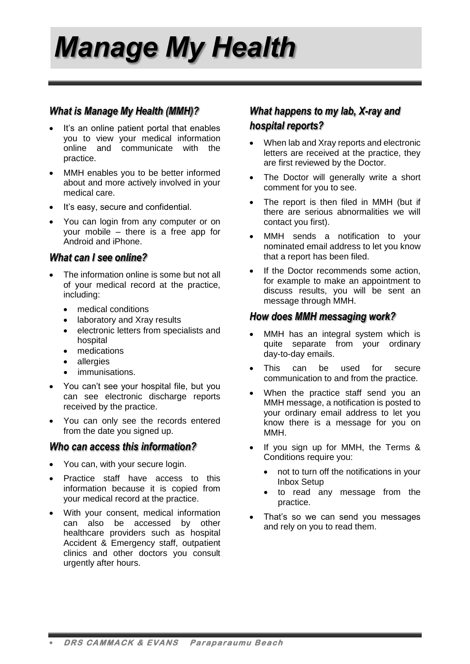*Manage My Health*

#### *What is Manage My Health (MMH)?*

- It's an online patient portal that enables you to view your medical information online and communicate with the practice.
- MMH enables you to be better informed about and more actively involved in your medical care.
- It's easy, secure and confidential.
- You can login from any computer or on your mobile – there is a free app for Android and iPhone.

#### *What can I see online?*

- The information online is some but not all of your medical record at the practice, including:
	- medical conditions
	- laboratory and Xray results
	- electronic letters from specialists and hospital
	- medications
	- allergies
	- immunisations.
- You can't see your hospital file, but you can see electronic discharge reports received by the practice.
- You can only see the records entered from the date you signed up.

#### *Who can access this information?*

- You can, with your secure login.
- Practice staff have access to this information because it is copied from your medical record at the practice.
- With your consent, medical information can also be accessed by other healthcare providers such as hospital Accident & Emergency staff, outpatient clinics and other doctors you consult urgently after hours.

# *What happens to my lab, X-ray and hospital reports?*

- When lab and Xray reports and electronic letters are received at the practice, they are first reviewed by the Doctor.
- The Doctor will generally write a short comment for you to see.
- The report is then filed in MMH (but if there are serious abnormalities we will contact you first).
- MMH sends a notification to your nominated email address to let you know that a report has been filed.
- If the Doctor recommends some action, for example to make an appointment to discuss results, you will be sent an message through MMH.

#### *How does MMH messaging work?*

- MMH has an integral system which is quite separate from your ordinary day-to-day emails.
- This can be used for secure communication to and from the practice.
- When the practice staff send you an MMH message, a notification is posted to your ordinary email address to let you know there is a message for you on MMH.
- If you sign up for MMH, the Terms & Conditions require you:
	- not to turn off the notifications in your Inbox Setup
	- to read any message from the practice.
- That's so we can send you messages and rely on you to read them.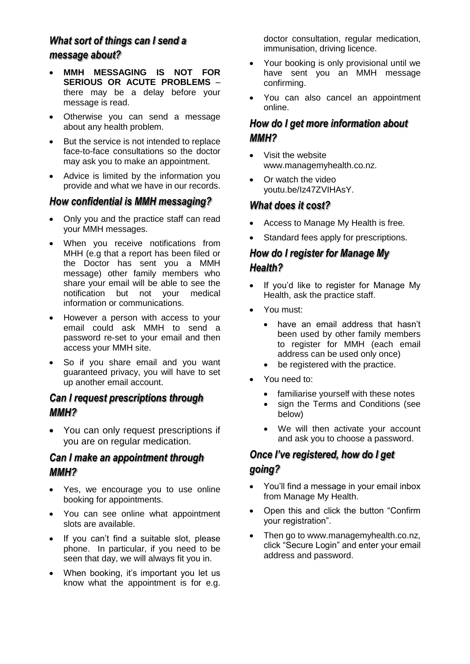# *What sort of things can I send a message about?*

- **MMH MESSAGING IS NOT FOR SERIOUS OR ACUTE PROBLEMS** – there may be a delay before your message is read.
- Otherwise you can send a message about any health problem.
- But the service is not intended to replace face-to-face consultations so the doctor may ask you to make an appointment.
- Advice is limited by the information you provide and what we have in our records.

#### *How confidential is MMH messaging?*

- Only you and the practice staff can read your MMH messages.
- When you receive notifications from MHH (e.g that a report has been filed or the Doctor has sent you a MMH message) other family members who share your email will be able to see the notification but not your medical information or communications.
- However a person with access to your email could ask MMH to send a password re-set to your email and then access your MMH site.
- So if you share email and you want guaranteed privacy, you will have to set up another email account.

## *Can I request prescriptions through MMH?*

 You can only request prescriptions if you are on regular medication.

#### *Can I make an appointment through MMH?*

- Yes, we encourage you to use online booking for appointments.
- You can see online what appointment slots are available.
- If you can't find a suitable slot, please phone. In particular, if you need to be seen that day, we will always fit you in.
- When booking, it's important you let us know what the appointment is for e.g.

doctor consultation, regular medication, immunisation, driving licence.

- Your booking is only provisional until we have sent you an MMH message confirming.
- You can also cancel an appointment online.

## *How do I get more information about MMH?*

- Visit the website www.managemyhealth.co.nz.
- Or watch the video youtu.be/Iz47ZVIHAsY.

#### *What does it cost?*

- Access to Manage My Health is free.
- Standard fees apply for prescriptions.

# *How do I register for Manage My Health?*

- If you'd like to register for Manage My Health, ask the practice staff.
- You must:
	- have an email address that hasn't been used by other family members to register for MMH (each email address can be used only once)
	- be registered with the practice.
- You need to:
	- familiarise yourself with these notes
	- sign the Terms and Conditions (see below)
	- We will then activate your account and ask you to choose a password.

## *Once I've registered, how do I get going?*

- You'll find a message in your email inbox from Manage My Health.
- Open this and click the button "Confirm your registration".
- Then go to www.managemyhealth.co.nz, click "Secure Login" and enter your email address and password.